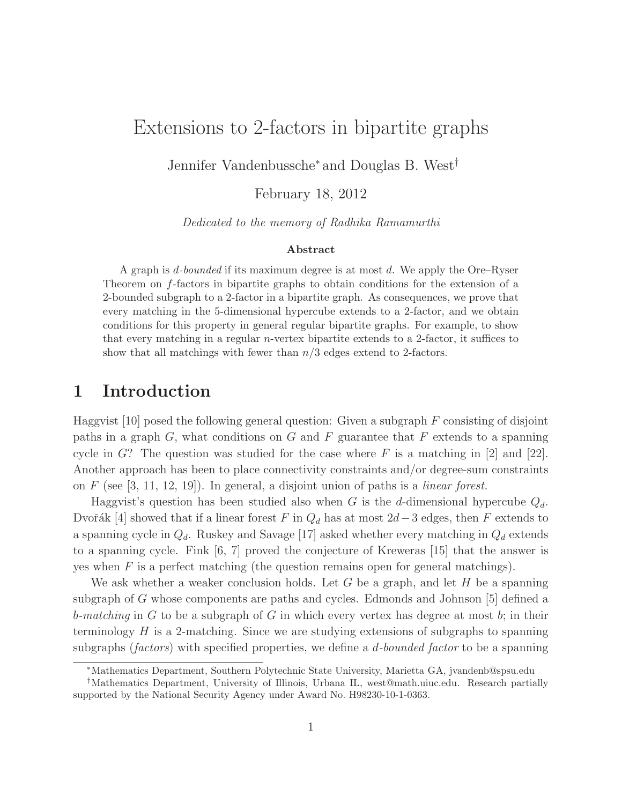# Extensions to 2-factors in bipartite graphs

Jennifer Vandenbussche<sup>∗</sup> and Douglas B. West†

February 18, 2012

*Dedicated to the memory of Radhika Ramamurthi*

#### Abstract

A graph is d*-bounded* if its maximum degree is at most d. We apply the Ore–Ryser Theorem on f-factors in bipartite graphs to obtain conditions for the extension of a 2-bounded subgraph to a 2-factor in a bipartite graph. As consequences, we prove that every matching in the 5-dimensional hypercube extends to a 2-factor, and we obtain conditions for this property in general regular bipartite graphs. For example, to show that every matching in a regular n-vertex bipartite extends to a 2-factor, it suffices to show that all matchings with fewer than  $n/3$  edges extend to 2-factors.

#### 1 Introduction

Haggvist [10] posed the following general question: Given a subgraph  $F$  consisting of disjoint paths in a graph  $G$ , what conditions on  $G$  and  $F$  guarantee that  $F$  extends to a spanning cycle in  $G$ ? The question was studied for the case where  $F$  is a matching in [2] and [22]. Another approach has been to place connectivity constraints and/or degree-sum constraints on F (see [3, 11, 12, 19]). In general, a disjoint union of paths is a *linear forest.*

Haggvist's question has been studied also when G is the d-dimensional hypercube  $Q_d$ . Dvořák [4] showed that if a linear forest F in  $Q_d$  has at most 2d−3 edges, then F extends to a spanning cycle in  $Q_d$ . Ruskey and Savage [17] asked whether every matching in  $Q_d$  extends to a spanning cycle. Fink [6, 7] proved the conjecture of Kreweras [15] that the answer is yes when  $F$  is a perfect matching (the question remains open for general matchings).

We ask whether a weaker conclusion holds. Let G be a graph, and let H be a spanning subgraph of G whose components are paths and cycles. Edmonds and Johnson [5] defined a b*-matching* in G to be a subgraph of G in which every vertex has degree at most b; in their terminology  $H$  is a 2-matching. Since we are studying extensions of subgraphs to spanning subgraphs (*factors*) with specified properties, we define a d*-bounded factor* to be a spanning

<sup>∗</sup>Mathematics Department, Southern Polytechnic State University, Marietta GA, jvandenb@spsu.edu

<sup>†</sup>Mathematics Department, University of Illinois, Urbana IL, west@math.uiuc.edu. Research partially supported by the National Security Agency under Award No. H98230-10-1-0363.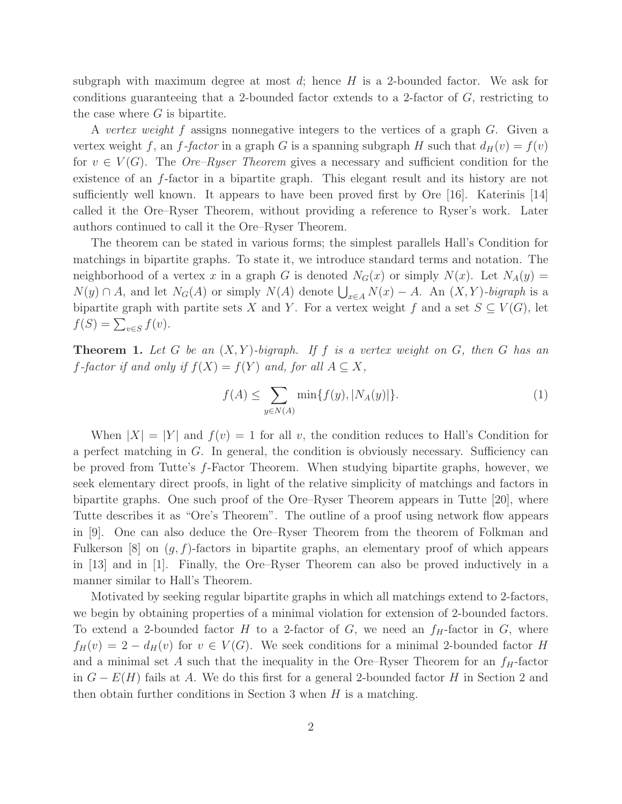subgraph with maximum degree at most  $d$ ; hence  $H$  is a 2-bounded factor. We ask for conditions guaranteeing that a 2-bounded factor extends to a 2-factor of  $G$ , restricting to the case where  $G$  is bipartite.

A *vertex weight* f assigns nonnegative integers to the vertices of a graph G. Given a vertex weight f, an f-factor in a graph G is a spanning subgraph H such that  $d_H(v) = f(v)$ for  $v \in V(G)$ . The *Ore–Ryser Theorem* gives a necessary and sufficient condition for the existence of an f-factor in a bipartite graph. This elegant result and its history are not sufficiently well known. It appears to have been proved first by Ore [16]. Katerinis [14] called it the Ore–Ryser Theorem, without providing a reference to Ryser's work. Later authors continued to call it the Ore–Ryser Theorem.

The theorem can be stated in various forms; the simplest parallels Hall's Condition for matchings in bipartite graphs. To state it, we introduce standard terms and notation. The neighborhood of a vertex x in a graph G is denoted  $N_G(x)$  or simply  $N(x)$ . Let  $N_A(y) =$  $N(y) \cap A$ , and let  $N_G(A)$  or simply  $N(A)$  denote  $\bigcup_{x \in A} N(x) - A$ . An  $(X, Y)$ *-bigraph* is a bipartite graph with partite sets X and Y. For a vertex weight f and a set  $S \subseteq V(G)$ , let  $f(S) = \sum_{v \in S} f(v).$ 

Theorem 1. *Let* G *be an* (X,Y )*-bigraph. If* f *is a vertex weight on* G*, then* G *has an f*-factor if and only if  $f(X) = f(Y)$  and, for all  $A \subseteq X$ ,

$$
f(A) \le \sum_{y \in N(A)} \min\{f(y), |N_A(y)|\}.
$$
 (1)

When  $|X| = |Y|$  and  $f(v) = 1$  for all v, the condition reduces to Hall's Condition for a perfect matching in  $G$ . In general, the condition is obviously necessary. Sufficiency can be proved from Tutte's f-Factor Theorem. When studying bipartite graphs, however, we seek elementary direct proofs, in light of the relative simplicity of matchings and factors in bipartite graphs. One such proof of the Ore–Ryser Theorem appears in Tutte [20], where Tutte describes it as "Ore's Theorem". The outline of a proof using network flow appears in [9]. One can also deduce the Ore–Ryser Theorem from the theorem of Folkman and Fulkerson  $[8]$  on  $(q, f)$ -factors in bipartite graphs, an elementary proof of which appears in [13] and in [1]. Finally, the Ore–Ryser Theorem can also be proved inductively in a manner similar to Hall's Theorem.

Motivated by seeking regular bipartite graphs in which all matchings extend to 2-factors, we begin by obtaining properties of a minimal violation for extension of 2-bounded factors. To extend a 2-bounded factor H to a 2-factor of G, we need an  $f_H$ -factor in G, where  $f_H(v) = 2 - d_H(v)$  for  $v \in V(G)$ . We seek conditions for a minimal 2-bounded factor H and a minimal set A such that the inequality in the Ore–Ryser Theorem for an  $f_H$ -factor in  $G - E(H)$  fails at A. We do this first for a general 2-bounded factor H in Section 2 and then obtain further conditions in Section 3 when  $H$  is a matching.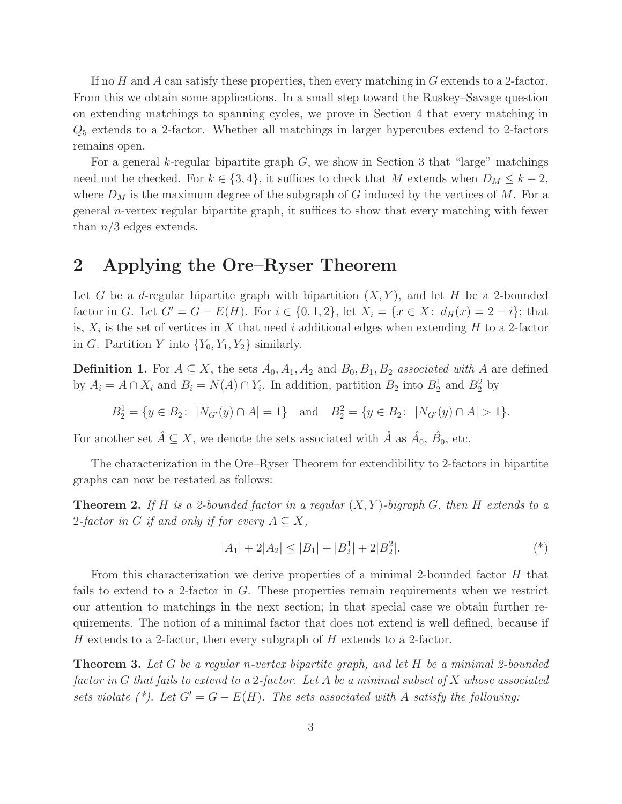If no  $H$  and  $A$  can satisfy these properties, then every matching in  $G$  extends to a 2-factor. From this we obtain some applications. In a small step toward the Ruskey–Savage question on extending matchings to spanning cycles, we prove in Section 4 that every matching in  $Q_5$  extends to a 2-factor. Whether all matchings in larger hypercubes extend to 2-factors remains open.

For a general k-regular bipartite graph  $G$ , we show in Section 3 that "large" matchings need not be checked. For  $k \in \{3, 4\}$ , it suffices to check that M extends when  $D_M \leq k - 2$ , where  $D_M$  is the maximum degree of the subgraph of G induced by the vertices of M. For a general n-vertex regular bipartite graph, it suffices to show that every matching with fewer than  $n/3$  edges extends.

### 2 Applying the Ore–Ryser Theorem

Let G be a d-regular bipartite graph with bipartition  $(X, Y)$ , and let H be a 2-bounded factor in G. Let  $G' = G - E(H)$ . For  $i \in \{0, 1, 2\}$ , let  $X_i = \{x \in X : d_H(x) = 2 - i\}$ ; that is,  $X_i$  is the set of vertices in X that need i additional edges when extending H to a 2-factor in G. Partition Y into  ${Y_0, Y_1, Y_2}$  similarly.

**Definition 1.** For  $A \subseteq X$ , the sets  $A_0, A_1, A_2$  and  $B_0, B_1, B_2$  *associated with* A are defined by  $A_i = A \cap X_i$  and  $B_i = N(A) \cap Y_i$ . In addition, partition  $B_2$  into  $B_2^1$  and  $B_2^2$  by

$$
B_2^1 = \{ y \in B_2 \colon \ |N_{G'}(y) \cap A| = 1 \} \quad \text{and} \quad B_2^2 = \{ y \in B_2 \colon \ |N_{G'}(y) \cap A| > 1 \}.
$$

For another set  $\hat{A} \subseteq X$ , we denote the sets associated with  $\hat{A}$  as  $\hat{A}_0$ ,  $\hat{B}_0$ , etc.

The characterization in the Ore–Ryser Theorem for extendibility to 2-factors in bipartite graphs can now be restated as follows:

Theorem 2. *If* H *is a 2-bounded factor in a regular* (X,Y )*-bigraph* G*, then* H *extends to a* 2-factor in G if and only if for every  $A \subseteq X$ ,

$$
|A_1| + 2|A_2| \le |B_1| + |B_2^1| + 2|B_2^2|.
$$
\n<sup>(\*)</sup>

From this characterization we derive properties of a minimal 2-bounded factor H that fails to extend to a 2-factor in G. These properties remain requirements when we restrict our attention to matchings in the next section; in that special case we obtain further requirements. The notion of a minimal factor that does not extend is well defined, because if H extends to a 2-factor, then every subgraph of H extends to a 2-factor.

Theorem 3. *Let* G *be a regular* n*-vertex bipartite graph, and let* H *be a minimal 2-bounded factor in* G *that fails to extend to a* 2*-factor. Let* A *be a minimal subset of* X *whose associated sets violate* (\*). Let  $G' = G - E(H)$ . The sets associated with A satisfy the following: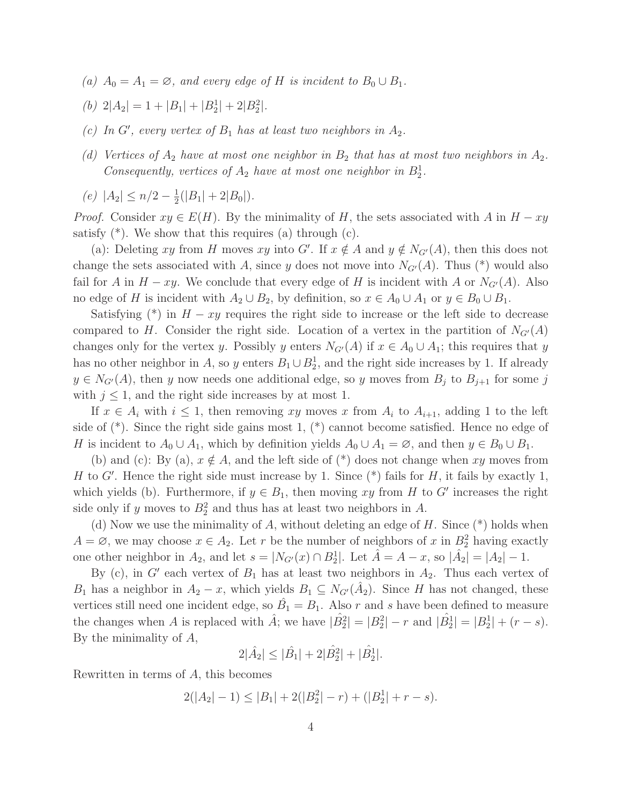- *(a)*  $A_0 = A_1 = \emptyset$ *, and every edge of H is incident to*  $B_0 \cup B_1$ *.*
- (b)  $2|A_2| = 1 + |B_1| + |B_2^1| + 2|B_2^2|$ .
- (c) In  $G'$ , every vertex of  $B_1$  has at least two neighbors in  $A_2$ .
- *(d) Vertices of*  $A_2$  *have at most one neighbor in*  $B_2$  *that has at most two neighbors in*  $A_2$ *.* Consequently, vertices of  $A_2$  have at most one neighbor in  $B_2^1$ .
- $(e) |A_2| ≤ n/2 \frac{1}{2}$  $\frac{1}{2}(|B_1|+2|B_0|).$

*Proof.* Consider  $xy \in E(H)$ . By the minimality of H, the sets associated with A in  $H - xy$ satisfy  $(*)$ . We show that this requires (a) through  $(c)$ .

(a): Deleting xy from H moves xy into G'. If  $x \notin A$  and  $y \notin N_{G'}(A)$ , then this does not change the sets associated with A, since y does not move into  $N_{G'}(A)$ . Thus (\*) would also fail for A in  $H - xy$ . We conclude that every edge of H is incident with A or  $N_{G'}(A)$ . Also no edge of H is incident with  $A_2 \cup B_2$ , by definition, so  $x \in A_0 \cup A_1$  or  $y \in B_0 \cup B_1$ .

Satisfying (\*) in  $H - xy$  requires the right side to increase or the left side to decrease compared to H. Consider the right side. Location of a vertex in the partition of  $N_{G'}(A)$ changes only for the vertex y. Possibly y enters  $N_{G'}(A)$  if  $x \in A_0 \cup A_1$ ; this requires that y has no other neighbor in A, so y enters  $B_1 \cup B_2^1$ , and the right side increases by 1. If already  $y \in N_{G'}(A)$ , then y now needs one additional edge, so y moves from  $B_j$  to  $B_{j+1}$  for some j with  $j \leq 1$ , and the right side increases by at most 1.

If  $x \in A_i$  with  $i \leq 1$ , then removing xy moves x from  $A_i$  to  $A_{i+1}$ , adding 1 to the left side of (\*). Since the right side gains most 1, (\*) cannot become satisfied. Hence no edge of H is incident to  $A_0 \cup A_1$ , which by definition yields  $A_0 \cup A_1 = \emptyset$ , and then  $y \in B_0 \cup B_1$ .

(b) and (c): By (a),  $x \notin A$ , and the left side of (\*) does not change when xy moves from H to G'. Hence the right side must increase by 1. Since  $(*)$  fails for H, it fails by exactly 1, which yields (b). Furthermore, if  $y \in B_1$ , then moving xy from H to G' increases the right side only if y moves to  $B_2^2$  and thus has at least two neighbors in A.

(d) Now we use the minimality of A, without deleting an edge of  $H$ . Since  $(*)$  holds when  $A = \emptyset$ , we may choose  $x \in A_2$ . Let r be the number of neighbors of x in  $B_2^2$  having exactly one other neighbor in  $A_2$ , and let  $s = |N_{G'}(x) \cap B_2^1|$ . Let  $\hat{A} = A - x$ , so  $|\hat{A}_2| = |A_2| - 1$ .

By (c), in  $G'$  each vertex of  $B_1$  has at least two neighbors in  $A_2$ . Thus each vertex of  $B_1$  has a neighbor in  $A_2 - x$ , which yields  $B_1 \subseteq N_{G'}(\hat{A}_2)$ . Since H has not changed, these vertices still need one incident edge, so  $\hat{B}_1 = B_1$ . Also r and s have been defined to measure the changes when A is replaced with  $\hat{A}$ ; we have  $|\hat{B}_2^2| = |B_2^2| - r$  and  $|\hat{B}_2^1| = |B_2^1| + (r - s)$ . By the minimality of A,

$$
2|\hat{A}_2| \leq |\hat{B}_1| + 2|\hat{B}_2^2| + |\hat{B}_2^1|.
$$

Rewritten in terms of A, this becomes

$$
2(|A_2| - 1) \le |B_1| + 2(|B_2^2| - r) + (|B_2^1| + r - s).
$$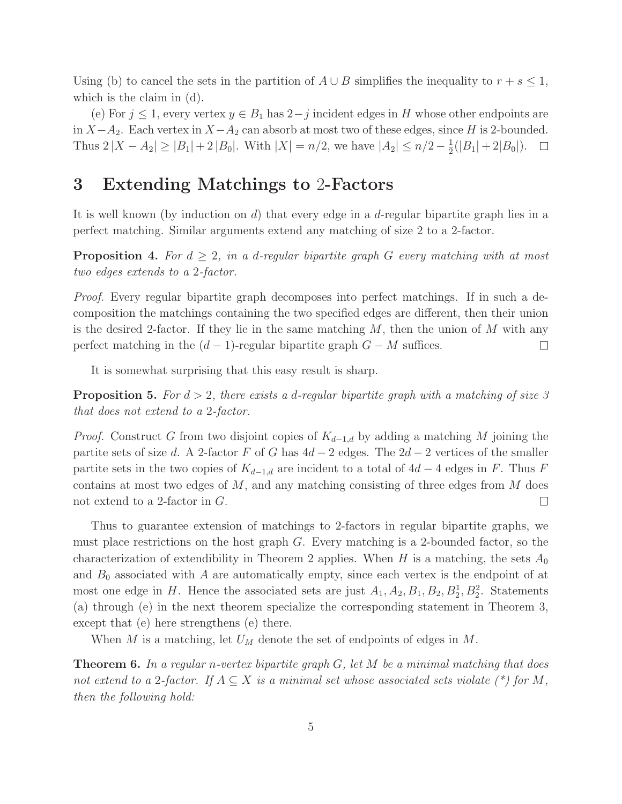Using (b) to cancel the sets in the partition of  $A \cup B$  simplifies the inequality to  $r + s \leq 1$ , which is the claim in (d).

(e) For  $j \leq 1$ , every vertex  $y \in B_1$  has  $2-j$  incident edges in H whose other endpoints are in  $X-A_2$ . Each vertex in  $X-A_2$  can absorb at most two of these edges, since H is 2-bounded. Thus  $2|X - A_2| \geq |B_1| + 2|B_0|$ . With  $|X| = n/2$ , we have  $|A_2| \leq n/2 - \frac{1}{2}$  $\frac{1}{2}(|B_1|+2|B_0|).$ 

#### 3 Extending Matchings to 2-Factors

It is well known (by induction on  $d$ ) that every edge in a  $d$ -regular bipartite graph lies in a perfect matching. Similar arguments extend any matching of size 2 to a 2-factor.

**Proposition 4.** For  $d \geq 2$ , in a d-regular bipartite graph G every matching with at most *two edges extends to a* 2*-factor.*

*Proof.* Every regular bipartite graph decomposes into perfect matchings. If in such a decomposition the matchings containing the two specified edges are different, then their union is the desired 2-factor. If they lie in the same matching  $M$ , then the union of  $M$  with any perfect matching in the  $(d-1)$ -regular bipartite graph  $G - M$  suffices.  $\Box$ 

It is somewhat surprising that this easy result is sharp.

Proposition 5. *For* d > 2*, there exists a* d*-regular bipartite graph with a matching of size 3 that does not extend to a* 2*-factor.*

*Proof.* Construct G from two disjoint copies of  $K_{d-1,d}$  by adding a matching M joining the partite sets of size d. A 2-factor F of G has  $4d-2$  edges. The  $2d-2$  vertices of the smaller partite sets in the two copies of  $K_{d-1,d}$  are incident to a total of  $4d-4$  edges in F. Thus F contains at most two edges of  $M$ , and any matching consisting of three edges from  $M$  does not extend to a 2-factor in G.  $\Box$ 

Thus to guarantee extension of matchings to 2-factors in regular bipartite graphs, we must place restrictions on the host graph G. Every matching is a 2-bounded factor, so the characterization of extendibility in Theorem 2 applies. When H is a matching, the sets  $A_0$ and  $B_0$  associated with A are automatically empty, since each vertex is the endpoint of at most one edge in H. Hence the associated sets are just  $A_1, A_2, B_1, B_2, B_2^1, B_2^2$ . Statements (a) through (e) in the next theorem specialize the corresponding statement in Theorem 3, except that (e) here strengthens (e) there.

When M is a matching, let  $U_M$  denote the set of endpoints of edges in M.

Theorem 6. *In a regular* n*-vertex bipartite graph* G*, let* M *be a minimal matching that does not extend to a* 2-factor. If  $A \subseteq X$  *is a minimal set whose associated sets violate*  $(*)$  for M, *then the following hold:*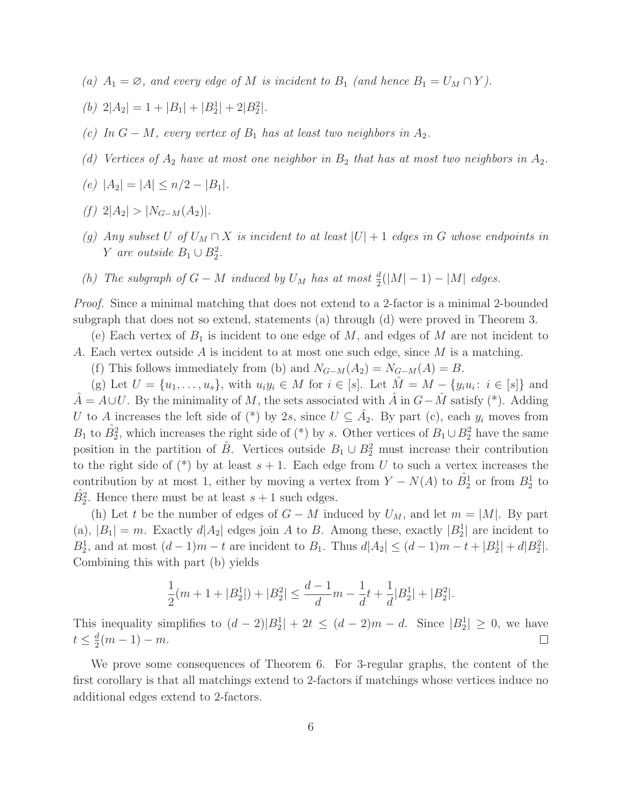*(a)*  $A_1 = \emptyset$ *, and every edge of* M *is incident to*  $B_1$  *(and hence*  $B_1 = U_M \cap Y$ *).* 

(b) 
$$
2|A_2| = 1 + |B_1| + |B_2^1| + 2|B_2^2|
$$
.

- *(c)* In  $G M$ , every vertex of  $B_1$  has at least two neighbors in  $A_2$ .
- *(d) Vertices of*  $A_2$  *have at most one neighbor in*  $B_2$  *that has at most two neighbors in*  $A_2$ *.*
- $(e) |A_2| = |A| < n/2 |B_1|$ *.*
- $(f)$  2| $A_2$ | > | $N_{G-M}(A_2)$ |.
- *(g)* Any subset U of  $U_M \cap X$  is incident to at least  $|U| + 1$  *edges in* G whose endpoints in *Y* are outside  $B_1 \cup B_2^2$ .
- *(h)* The subgraph of  $G M$  induced by  $U_M$  has at most  $\frac{d}{2}(|M| 1) |M|$  edges.

*Proof.* Since a minimal matching that does not extend to a 2-factor is a minimal 2-bounded subgraph that does not so extend, statements (a) through (d) were proved in Theorem 3.

(e) Each vertex of  $B_1$  is incident to one edge of M, and edges of M are not incident to A. Each vertex outside A is incident to at most one such edge, since M is a matching.

(f) This follows immediately from (b) and  $N_{G-M}(A_2) = N_{G-M}(A) = B$ .

(g) Let  $U = \{u_1, \ldots, u_s\}$ , with  $u_i y_i \in M$  for  $i \in [s]$ . Let  $\hat{M} = M - \{y_i u_i : i \in [s] \}$  and  $\hat{A} = A \cup U$ . By the minimality of M, the sets associated with  $\hat{A}$  in  $G - \hat{M}$  satisfy (\*). Adding U to A increases the left side of (\*) by 2s, since  $U \subseteq \hat{A}_2$ . By part (c), each  $y_i$  moves from  $B_1$  to  $\hat{B}_2^2$ , which increases the right side of (\*) by s. Other vertices of  $B_1 \cup B_2^2$  have the same position in the partition of  $\hat{B}$ . Vertices outside  $B_1 \cup B_2^2$  must increase their contribution to the right side of  $(*)$  by at least  $s + 1$ . Each edge from U to such a vertex increases the contribution by at most 1, either by moving a vertex from  $Y - N(A)$  to  $\hat{B}_2^1$  or from  $B_2^1$  to  $\hat{B}_2^2$ . Hence there must be at least  $s+1$  such edges.

(h) Let t be the number of edges of  $G - M$  induced by  $U_M$ , and let  $m = |M|$ . By part (a),  $|B_1| = m$ . Exactly  $d|A_2|$  edges join A to B. Among these, exactly  $|B_2|$  are incident to  $B_2^1$ , and at most  $(d-1)m - t$  are incident to  $B_1$ . Thus  $d|A_2| \leq (d-1)m - t + |B_2^1| + d|B_2^2|$ . Combining this with part (b) yields

$$
\frac{1}{2}(m+1+|B_2^1|)+|B_2^2| \le \frac{d-1}{d}m - \frac{1}{d}t + \frac{1}{d}|B_2^1| + |B_2^2|.
$$

This inequality simplifies to  $(d-2)|B_2|+2t \leq (d-2)m-d$ . Since  $|B_2| \geq 0$ , we have  $t\leq \frac{d}{2}$  $\frac{d}{2}(m-1)-m.$  $\Box$ 

We prove some consequences of Theorem 6. For 3-regular graphs, the content of the first corollary is that all matchings extend to 2-factors if matchings whose vertices induce no additional edges extend to 2-factors.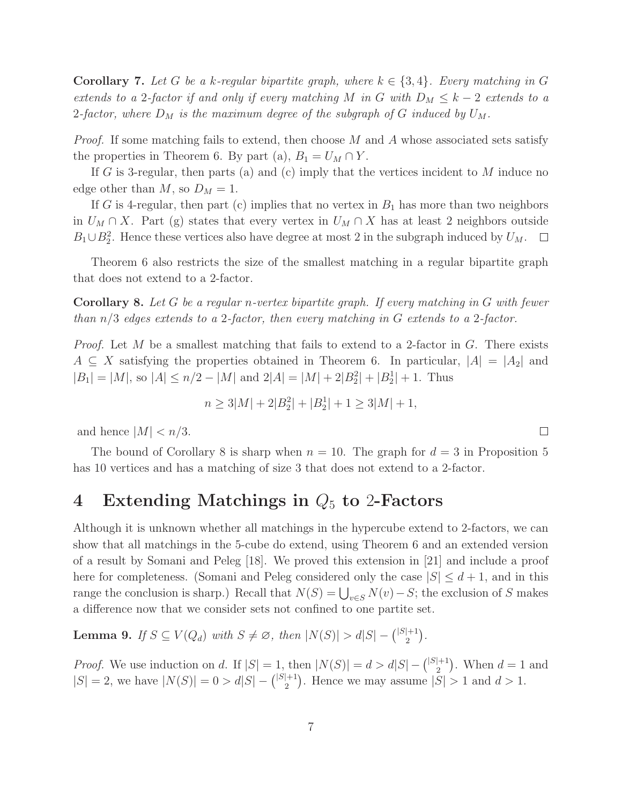**Corollary 7.** Let G be a k-regular bipartite graph, where  $k \in \{3, 4\}$ . Every matching in G *extends to a* 2-factor if and only if every matching M in G with  $D_M \leq k-2$  extends to a 2-factor, where  $D_M$  is the maximum degree of the subgraph of G induced by  $U_M$ .

*Proof.* If some matching fails to extend, then choose M and A whose associated sets satisfy the properties in Theorem 6. By part (a),  $B_1 = U_M \cap Y$ .

If G is 3-regular, then parts (a) and (c) imply that the vertices incident to  $M$  induce no edge other than  $M$ , so  $D_M = 1$ .

If G is 4-regular, then part (c) implies that no vertex in  $B_1$  has more than two neighbors in  $U_M \cap X$ . Part (g) states that every vertex in  $U_M \cap X$  has at least 2 neighbors outside  $B_1 \cup B_2^2$ . Hence these vertices also have degree at most 2 in the subgraph induced by  $U_M$ .

Theorem 6 also restricts the size of the smallest matching in a regular bipartite graph that does not extend to a 2-factor.

Corollary 8. *Let* G *be a regular* n*-vertex bipartite graph. If every matching in* G *with fewer than* n/3 *edges extends to a* 2*-factor, then every matching in* G *extends to a* 2*-factor.*

*Proof.* Let M be a smallest matching that fails to extend to a 2-factor in G. There exists  $A \subseteq X$  satisfying the properties obtained in Theorem 6. In particular,  $|A| = |A_2|$  and  $|B_1| = |M|$ , so  $|A| \le n/2 - |M|$  and  $2|A| = |M| + 2|B_2| + |B_2| + 1$ . Thus

$$
n \ge 3|M| + 2|B_2|| + |B_2|| + 1 \ge 3|M| + 1,
$$

and hence  $|M| < n/3$ .

The bound of Corollary 8 is sharp when  $n = 10$ . The graph for  $d = 3$  in Proposition 5 has 10 vertices and has a matching of size 3 that does not extend to a 2-factor.

## 4 Extending Matchings in  $Q_5$  to 2-Factors

Although it is unknown whether all matchings in the hypercube extend to 2-factors, we can show that all matchings in the 5-cube do extend, using Theorem 6 and an extended version of a result by Somani and Peleg [18]. We proved this extension in [21] and include a proof here for completeness. (Somani and Peleg considered only the case  $|S| \leq d+1$ , and in this range the conclusion is sharp.) Recall that  $N(S) = \bigcup_{v \in S} N(v) - S$ ; the exclusion of S makes a difference now that we consider sets not confined to one partite set.

**Lemma 9.** *If*  $S \subseteq V(Q_d)$  *with*  $S \neq \emptyset$ *, then*  $|N(S)| > d|S| - { |S| + 1 \choose 2}$  $\binom{+1}{2}$ .

*Proof.* We use induction on d. If  $|S| = 1$ , then  $|N(S)| = d > d|S| - \binom{|S|+1}{2}$  $\binom{+1}{2}$ . When  $d = 1$  and  $|S| = 2$ , we have  $|N(S)| = 0 > d|S| - \binom{|S|+1}{2}$  $\binom{+1}{2}$ . Hence we may assume  $|S| > 1$  and  $d > 1$ .

 $\Box$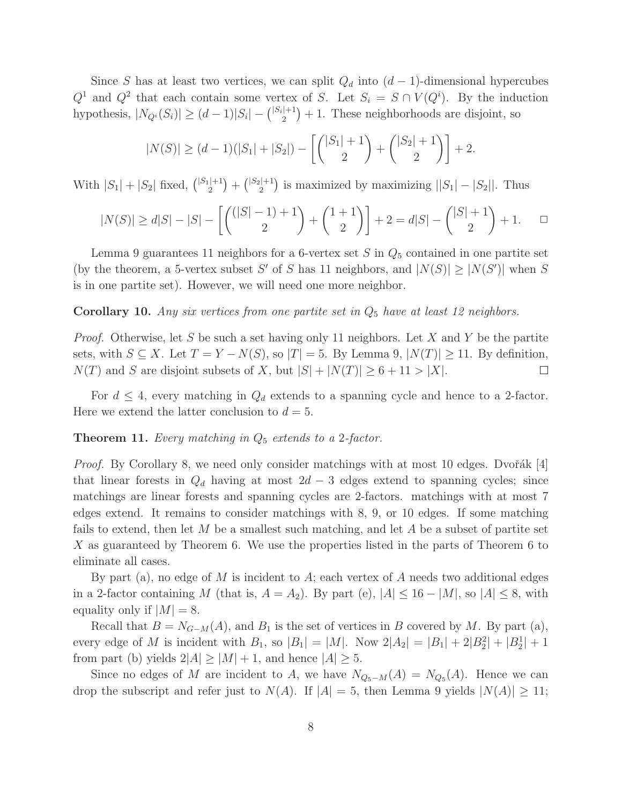Since S has at least two vertices, we can split  $Q_d$  into  $(d-1)$ -dimensional hypercubes  $Q^1$  and  $Q^2$  that each contain some vertex of S. Let  $S_i = S \cap V(Q^i)$ . By the induction hypothesis,  $|N_{Q_i}(S_i)| \ge (d-1)|S_i| - { |S_i| + 1 \choose 2}$  $\binom{+1}{2}+1$ . These neighborhoods are disjoint, so

$$
|N(S)| \ge (d-1)(|S_1| + |S_2|) - \left[ \binom{|S_1|+1}{2} + \binom{|S_2|+1}{2} \right] + 2.
$$

With  $|S_1| + |S_2|$  fixed,  $\binom{|S_1|+1}{2}$  $\binom{|+1}{2} + \binom{|S_2|+1}{2}$  $\binom{2}{2}$  is maximized by maximizing  $||S_1| - |S_2||$ . Thus

$$
|N(S)| \ge d|S| - |S| - \left[ \binom{(|S|-1)+1}{2} + \binom{1+1}{2} \right] + 2 = d|S| - \binom{|S|+1}{2} + 1. \quad \Box
$$

Lemma 9 guarantees 11 neighbors for a 6-vertex set  $S$  in  $Q_5$  contained in one partite set (by the theorem, a 5-vertex subset S' of S has 11 neighbors, and  $|N(S)| \geq |N(S')|$  when S is in one partite set). However, we will need one more neighbor.

Corollary 10. Any six vertices from one partite set in  $Q_5$  have at least 12 neighbors.

*Proof.* Otherwise, let S be such a set having only 11 neighbors. Let X and Y be the partite sets, with  $S \subseteq X$ . Let  $T = Y - N(S)$ , so  $|T| = 5$ . By Lemma 9,  $|N(T)| \ge 11$ . By definition,  $N(T)$  and S are disjoint subsets of X, but  $|S| + |N(T)| \geq 6 + 11 > |X|$ .  $\Box$ 

For  $d \leq 4$ , every matching in  $Q_d$  extends to a spanning cycle and hence to a 2-factor. Here we extend the latter conclusion to  $d = 5$ .

#### Theorem 11. *Every matching in* Q<sup>5</sup> *extends to a* 2*-factor.*

*Proof.* By Corollary 8, we need only consider matchings with at most 10 edges. Dvořák [4] that linear forests in  $Q_d$  having at most  $2d - 3$  edges extend to spanning cycles; since matchings are linear forests and spanning cycles are 2-factors. matchings with at most 7 edges extend. It remains to consider matchings with 8, 9, or 10 edges. If some matching fails to extend, then let  $M$  be a smallest such matching, and let  $A$  be a subset of partite set X as guaranteed by Theorem 6. We use the properties listed in the parts of Theorem 6 to eliminate all cases.

By part (a), no edge of M is incident to A; each vertex of A needs two additional edges in a 2-factor containing M (that is,  $A = A_2$ ). By part (e),  $|A| \le 16 - |M|$ , so  $|A| \le 8$ , with equality only if  $|M| = 8$ .

Recall that  $B = N_{G-M}(A)$ , and  $B_1$  is the set of vertices in B covered by M. By part (a), every edge of M is incident with  $B_1$ , so  $|B_1| = |M|$ . Now  $2|A_2| = |B_1| + 2|B_2^2| + |B_2^1| + 1$ from part (b) yields  $2|A| \ge |M| + 1$ , and hence  $|A| \ge 5$ .

Since no edges of M are incident to A, we have  $N_{Q_5-M}(A) = N_{Q_5}(A)$ . Hence we can drop the subscript and refer just to  $N(A)$ . If  $|A| = 5$ , then Lemma 9 yields  $|N(A)| \ge 11$ ;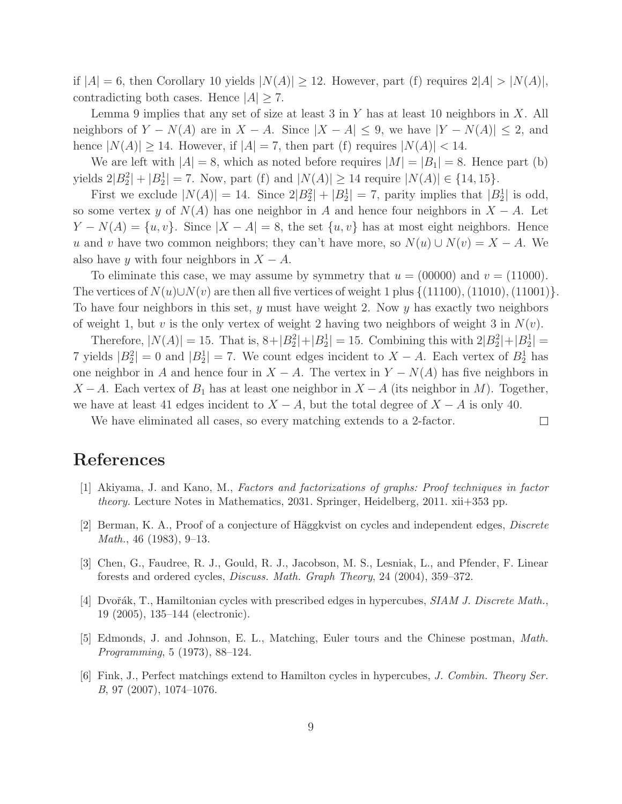if  $|A| = 6$ , then Corollary 10 yields  $|N(A)| \ge 12$ . However, part (f) requires  $2|A| > |N(A)|$ , contradicting both cases. Hence  $|A| \geq 7$ .

Lemma 9 implies that any set of size at least 3 in Y has at least 10 neighbors in X. All neighbors of  $Y - N(A)$  are in  $X - A$ . Since  $|X - A| \leq 9$ , we have  $|Y - N(A)| \leq 2$ , and hence  $|N(A)| \geq 14$ . However, if  $|A| = 7$ , then part (f) requires  $|N(A)| < 14$ .

We are left with  $|A| = 8$ , which as noted before requires  $|M| = |B_1| = 8$ . Hence part (b) yields  $2|B_2^2| + |B_2^1| = 7$ . Now, part (f) and  $|N(A)| \ge 14$  require  $|N(A)| \in \{14, 15\}$ .

First we exclude  $|N(A)| = 14$ . Since  $2|B_2|^2 + |B_2^1| = 7$ , parity implies that  $|B_2^1|$  is odd, so some vertex y of  $N(A)$  has one neighbor in A and hence four neighbors in  $X - A$ . Let  $Y - N(A) = \{u, v\}$ . Since  $|X - A| = 8$ , the set  $\{u, v\}$  has at most eight neighbors. Hence u and v have two common neighbors; they can't have more, so  $N(u) \cup N(v) = X - A$ . We also have y with four neighbors in  $X - A$ .

To eliminate this case, we may assume by symmetry that  $u = (00000)$  and  $v = (11000)$ . The vertices of  $N(u) \cup N(v)$  are then all five vertices of weight 1 plus  $\{(11100), (11010), (11001)\}.$ To have four neighbors in this set,  $y$  must have weight 2. Now  $y$  has exactly two neighbors of weight 1, but v is the only vertex of weight 2 having two neighbors of weight 3 in  $N(v)$ .

Therefore,  $|N(A)| = 15$ . That is,  $8 + |B_2^2| + |B_2^1| = 15$ . Combining this with  $2|B_2^2| + |B_2^1| =$ 7 yields  $|B_2^2| = 0$  and  $|B_2^1| = 7$ . We count edges incident to  $X - A$ . Each vertex of  $B_2^1$  has one neighbor in A and hence four in  $X - A$ . The vertex in  $Y - N(A)$  has five neighbors in  $X - A$ . Each vertex of  $B_1$  has at least one neighbor in  $X - A$  (its neighbor in M). Together, we have at least 41 edges incident to  $X - A$ , but the total degree of  $X - A$  is only 40.

 $\Box$ 

We have eliminated all cases, so every matching extends to a 2-factor.

## References

- [1] Akiyama, J. and Kano, M., *Factors and factorizations of graphs: Proof techniques in factor theory.* Lecture Notes in Mathematics, 2031. Springer, Heidelberg, 2011. xii+353 pp.
- [2] Berman, K. A., Proof of a conjecture of Häggkvist on cycles and independent edges, *Discrete Math.*, 46 (1983), 9–13.
- [3] Chen, G., Faudree, R. J., Gould, R. J., Jacobson, M. S., Lesniak, L., and Pfender, F. Linear forests and ordered cycles, *Discuss. Math. Graph Theory*, 24 (2004), 359–372.
- [4] Dvořák, T., Hamiltonian cycles with prescribed edges in hypercubes, *SIAM J. Discrete Math.*, 19 (2005), 135–144 (electronic).
- [5] Edmonds, J. and Johnson, E. L., Matching, Euler tours and the Chinese postman, *Math. Programming*, 5 (1973), 88–124.
- [6] Fink, J., Perfect matchings extend to Hamilton cycles in hypercubes, *J. Combin. Theory Ser. B*, 97 (2007), 1074–1076.